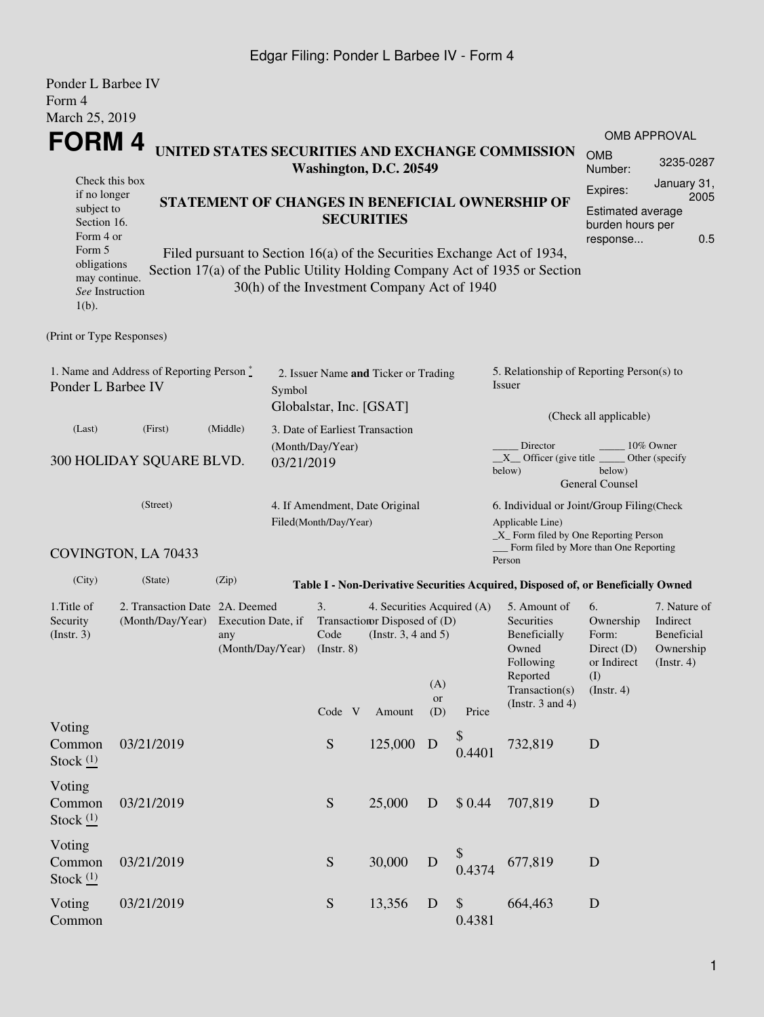## Edgar Filing: Ponder L Barbee IV - Form 4

| Ponder L Barbee IV<br>Form 4                                          |                                                                                                                |                                               |            |                                 |                                                                                       |           |                  |                                                                                                                                                       |                                                                               |                                                                         |  |  |  |
|-----------------------------------------------------------------------|----------------------------------------------------------------------------------------------------------------|-----------------------------------------------|------------|---------------------------------|---------------------------------------------------------------------------------------|-----------|------------------|-------------------------------------------------------------------------------------------------------------------------------------------------------|-------------------------------------------------------------------------------|-------------------------------------------------------------------------|--|--|--|
| March 25, 2019                                                        |                                                                                                                |                                               |            |                                 |                                                                                       |           |                  |                                                                                                                                                       |                                                                               |                                                                         |  |  |  |
| <b>FORM4</b>                                                          |                                                                                                                |                                               |            |                                 |                                                                                       |           |                  | UNITED STATES SECURITIES AND EXCHANGE COMMISSION                                                                                                      |                                                                               | <b>OMB APPROVAL</b>                                                     |  |  |  |
|                                                                       |                                                                                                                |                                               |            |                                 | Washington, D.C. 20549                                                                |           |                  |                                                                                                                                                       | <b>OMB</b><br>3235-0287<br>Number:                                            |                                                                         |  |  |  |
| Check this box<br>if no longer                                        |                                                                                                                |                                               |            |                                 |                                                                                       |           |                  |                                                                                                                                                       | Expires:                                                                      | January 31,<br>2005                                                     |  |  |  |
|                                                                       | STATEMENT OF CHANGES IN BENEFICIAL OWNERSHIP OF<br>subject to<br><b>SECURITIES</b><br>Section 16.<br>Form 4 or |                                               |            |                                 |                                                                                       |           |                  |                                                                                                                                                       | Estimated average<br>burden hours per<br>0.5<br>response                      |                                                                         |  |  |  |
| Form 5<br>obligations<br>may continue.<br>See Instruction<br>$1(b)$ . |                                                                                                                |                                               |            |                                 | 30(h) of the Investment Company Act of 1940                                           |           |                  | Filed pursuant to Section 16(a) of the Securities Exchange Act of 1934,<br>Section 17(a) of the Public Utility Holding Company Act of 1935 or Section |                                                                               |                                                                         |  |  |  |
| (Print or Type Responses)                                             |                                                                                                                |                                               |            |                                 |                                                                                       |           |                  |                                                                                                                                                       |                                                                               |                                                                         |  |  |  |
| Ponder L Barbee IV                                                    | 1. Name and Address of Reporting Person*                                                                       |                                               | Symbol     | Globalstar, Inc. [GSAT]         | 2. Issuer Name and Ticker or Trading                                                  |           |                  | 5. Relationship of Reporting Person(s) to<br>Issuer                                                                                                   |                                                                               |                                                                         |  |  |  |
| (Last)                                                                | (First)                                                                                                        | (Middle)                                      |            | 3. Date of Earliest Transaction |                                                                                       |           |                  |                                                                                                                                                       | (Check all applicable)                                                        |                                                                         |  |  |  |
|                                                                       | 300 HOLIDAY SQUARE BLVD.                                                                                       |                                               | 03/21/2019 | (Month/Day/Year)                |                                                                                       |           |                  | Director<br>$X$ Officer (give title<br>below)                                                                                                         | below)<br><b>General Counsel</b>                                              | 10% Owner<br>Other (specify                                             |  |  |  |
|                                                                       | (Street)<br>COVINGTON, LA 70433                                                                                |                                               |            | Filed(Month/Day/Year)           | 4. If Amendment, Date Original                                                        |           |                  | 6. Individual or Joint/Group Filing(Check<br>Applicable Line)<br>$\_X$ Form filed by One Reporting Person<br>Form filed by More than One Reporting    |                                                                               |                                                                         |  |  |  |
| (City)                                                                | (State)                                                                                                        | (Zip)                                         |            |                                 |                                                                                       |           |                  | Person<br>Table I - Non-Derivative Securities Acquired, Disposed of, or Beneficially Owned                                                            |                                                                               |                                                                         |  |  |  |
| 1. Title of<br>Security<br>(Insert. 3)                                | 2. Transaction Date 2A. Deemed<br>(Month/Day/Year)                                                             | Execution Date, if<br>any<br>(Month/Day/Year) |            | 3.<br>Code<br>$($ Instr. $8)$   | 4. Securities Acquired (A)<br>Transaction Disposed of (D)<br>(Instr. $3, 4$ and $5$ ) | (A)<br>or |                  | 5. Amount of<br>Securities<br>Beneficially<br>Owned<br>Following<br>Reported<br>Transaction(s)                                                        | 6.<br>Ownership<br>Form:<br>Direct $(D)$<br>or Indirect<br>(I)<br>(Insert. 4) | 7. Nature of<br>Indirect<br>Beneficial<br>Ownership<br>$($ Instr. 4 $)$ |  |  |  |
|                                                                       |                                                                                                                |                                               |            | Code V                          | Amount                                                                                | (D)       | Price            | (Instr. $3$ and $4$ )                                                                                                                                 |                                                                               |                                                                         |  |  |  |
| Voting<br>Common<br>Stock $(1)$                                       | 03/21/2019                                                                                                     |                                               |            | ${\mathbf S}$                   | 125,000                                                                               | D         | \$<br>0.4401     | 732,819                                                                                                                                               | $\mathbf D$                                                                   |                                                                         |  |  |  |
| Voting<br>Common<br>Stock $(1)$                                       | 03/21/2019                                                                                                     |                                               |            | ${\mathbf S}$                   | 25,000                                                                                | D         | \$0.44           | 707,819                                                                                                                                               | $\mathbf D$                                                                   |                                                                         |  |  |  |
| Voting<br>Common<br>Stock $(1)$                                       | 03/21/2019                                                                                                     |                                               |            | S                               | 30,000                                                                                | D         | \$<br>0.4374     | 677,819                                                                                                                                               | $\mathbf D$                                                                   |                                                                         |  |  |  |
| Voting<br>Common                                                      | 03/21/2019                                                                                                     |                                               |            | S                               | 13,356                                                                                | D         | $\$\,$<br>0.4381 | 664,463                                                                                                                                               | $\mathbf D$                                                                   |                                                                         |  |  |  |

Common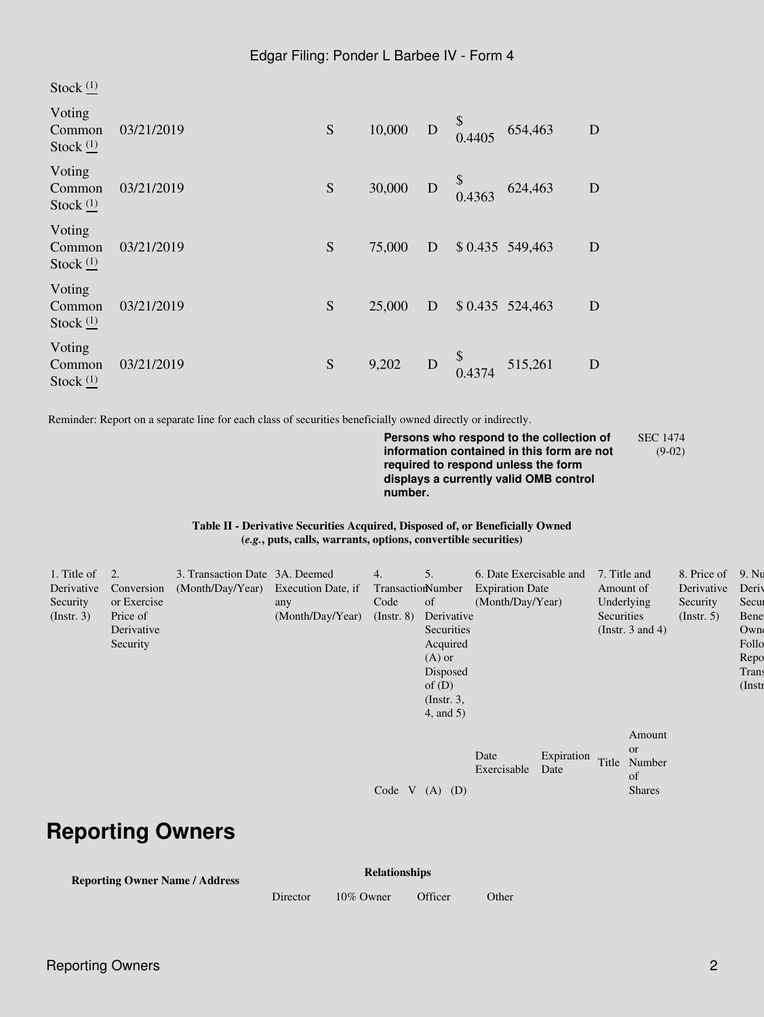Stock<sup>(1)</sup>

| Voting<br>Common<br>Stock $(1)$ | 03/21/2019 | S | 10,000 | D         | \$<br>0.4405                                                                        | 654,463          | D |
|---------------------------------|------------|---|--------|-----------|-------------------------------------------------------------------------------------|------------------|---|
| Voting<br>Common<br>Stock $(1)$ | 03/21/2019 | S | 30,000 |           | $\begin{array}{cc}\n & \text{\$} \\ \text{D} & \text{\$} \\  & 0.4363\n\end{array}$ | 624,463          | D |
| Voting<br>Common<br>Stock $(1)$ | 03/21/2019 | S | 75,000 | D         |                                                                                     | $$0.435$ 549,463 | D |
| Voting<br>Common<br>Stock $(1)$ | 03/21/2019 | S | 25,000 | D         |                                                                                     | \$0.435 524,463  | D |
| Voting<br>Common<br>Stock $(1)$ | 03/21/2019 | S | 9,202  | ${\bf D}$ | $\begin{array}{c} \n\sqrt{8} \\ 0.4374\n\end{array}$                                | 515,261          | D |

Reminder: Report on a separate line for each class of securities beneficially owned directly or indirectly.

**Persons who respond to the collection of information contained in this form are not required to respond unless the form displays a currently valid OMB control number.** SEC 1474 (9-02)

**Table II - Derivative Securities Acquired, Disposed of, or Beneficially Owned (***e.g.***, puts, calls, warrants, options, convertible securities)**

| 1. Title of<br>Derivative<br>Security<br>$($ Instr. 3 $)$ | 2.<br>Conversion<br>or Exercise<br>Price of<br>Derivative<br>Security | 3. Transaction Date 3A. Deemed<br>(Month/Day/Year) Execution Date, if | any<br>(Month/Day/Year) | 4.<br>TransactionNumber<br>Code<br>$($ Instr. $8)$ | 5.<br>of<br>Derivative<br>Securities<br>Acquired<br>$(A)$ or<br>Disposed<br>of $(D)$<br>$($ Instr. 3,<br>$4$ , and $5$ ) | 6. Date Exercisable and<br><b>Expiration Date</b><br>(Month/Day/Year) |                    | 7. Title and<br>Amount of<br>Underlying<br>Securities<br>(Instr. $3$ and $4$ ) | 8. Price of<br>Derivative<br>Security<br>$($ Instr. 5 $)$ | 9. Nu<br>Deriy<br>Secur<br>Bene<br>Own<br>Follo<br>Repo<br>Trans<br>$($ Instr |
|-----------------------------------------------------------|-----------------------------------------------------------------------|-----------------------------------------------------------------------|-------------------------|----------------------------------------------------|--------------------------------------------------------------------------------------------------------------------------|-----------------------------------------------------------------------|--------------------|--------------------------------------------------------------------------------|-----------------------------------------------------------|-------------------------------------------------------------------------------|
|                                                           |                                                                       |                                                                       |                         | Code V                                             | (D)<br>(A)                                                                                                               | Date<br>Exercisable                                                   | Expiration<br>Date | Amount<br><b>or</b><br>Title<br>Number<br>of<br><b>Shares</b>                  |                                                           |                                                                               |

# **Reporting Owners**

| <b>Relationships</b> |
|----------------------|
|----------------------|

**Reporting Owner Name / Address**

Director 10% Owner Officer Other